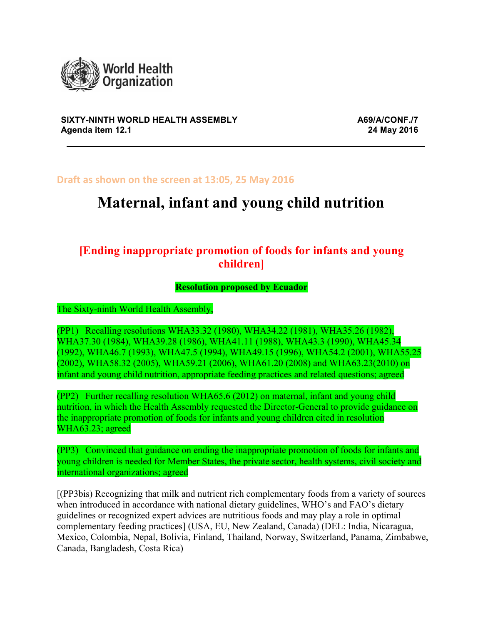

#### **SIXTY-NINTH WORLD HEALTH ASSEMBLY A69/A/CONF./7 Agenda item 12.1 24 May 2016**

Draft as shown on the screen at 13:05, 25 May 2016

# **Maternal, infant and young child nutrition**

# **[Ending inappropriate promotion of foods for infants and young children]**

#### **Resolution proposed by Ecuador**

The Sixty-ninth World Health Assembly,

(PP1) Recalling resolutions WHA33.32 (1980), WHA34.22 (1981), WHA35.26 (1982), WHA37.30 (1984), WHA39.28 (1986), WHA41.11 (1988), WHA43.3 (1990), WHA45.34 (1992), WHA46.7 (1993), WHA47.5 (1994), WHA49.15 (1996), WHA54.2 (2001), WHA55.25 (2002), WHA58.32 (2005), WHA59.21 (2006), WHA61.20 (2008) and WHA63.23(2010) on infant and young child nutrition, appropriate feeding practices and related questions; agreed

(PP2) Further recalling resolution WHA65.6 (2012) on maternal, infant and young child nutrition, in which the Health Assembly requested the Director-General to provide guidance on the inappropriate promotion of foods for infants and young children cited in resolution WHA63.23; agreed

(PP3) Convinced that guidance on ending the inappropriate promotion of foods for infants and young children is needed for Member States, the private sector, health systems, civil society and international organizations; agreed

[(PP3bis) Recognizing that milk and nutrient rich complementary foods from a variety of sources when introduced in accordance with national dietary guidelines, WHO's and FAO's dietary guidelines or recognized expert advices are nutritious foods and may play a role in optimal complementary feeding practices] (USA, EU, New Zealand, Canada) (DEL: India, Nicaragua, Mexico, Colombia, Nepal, Bolivia, Finland, Thailand, Norway, Switzerland, Panama, Zimbabwe, Canada, Bangladesh, Costa Rica)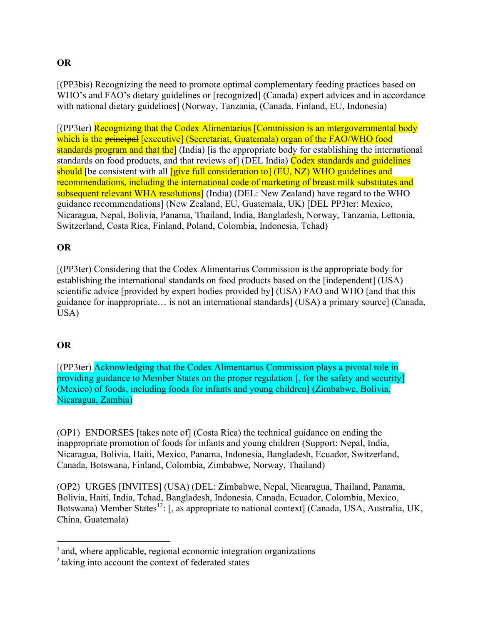## **OR**

[(PP3bis) Recognizing the need to promote optimal complementary feeding practices based on WHO's and FAO's dietary guidelines or [recognized] (Canada) expert advices and in accordance with national dietary guidelines] (Norway, Tanzania, (Canada, Finland, EU, Indonesia)

[(PP3ter) Recognizing that the Codex Alimentarius [Commission is an intergovernmental body which is the principal [executive] (Secretariat, Guatemala) organ of the FAO/WHO food standards program and that the<sup>d</sup> (India) (is the appropriate body for establishing the international standards on food products, and that reviews of (DEL India) Codex standards and guidelines should [be consistent with all **[give full consideration to**] (EU, NZ) WHO guidelines and recommendations, including the international code of marketing of breast milk substitutes and subsequent relevant WHA resolutions] (India) (DEL: New Zealand) have regard to the WHO guidance recommendations] (New Zealand, EU, Guatemala, UK) [DEL PP3ter: Mexico, Nicaragua, Nepal, Bolivia, Panama, Thailand, India, Bangladesh, Norway, Tanzania, Lettonia, Switzerland, Costa Rica, Finland, Poland, Colombia, Indonesia, Tchad)

# **OR**

[(PP3ter) Considering that the Codex Alimentarius Commission is the appropriate body for establishing the international standards on food products based on the [independent] (USA) scientific advice [provided by expert bodies provided by] (USA) FAO and WHO [and that this guidance for inappropriate… is not an international standards] (USA) a primary source] (Canada, USA)

## **OR**

[(PP3ter) Acknowledging that the Codex Alimentarius Commission plays a pivotal role in providing guidance to Member States on the proper regulation [, for the safety and security] (Mexico) of foods, including foods for infants and young children] (Zimbabwe, Bolivia, Nicaragua, Zambia)

(OP1) ENDORSES [takes note of] (Costa Rica) the technical guidance on ending the inappropriate promotion of foods for infants and young children (Support: Nepal, India, Nicaragua, Bolivia, Haiti, Mexico, Panama, Indonesia, Bangladesh, Ecuador, Switzerland, Canada, Botswana, Finland, Colombia, Zimbabwe, Norway, Thailand)

(OP2) URGES [INVITES] (USA) (DEL: Zimbabwe, Nepal, Nicaragua, Thailand, Panama, Bolivia, Haiti, India, Tchad, Bangladesh, Indonesia, Canada, Ecuador, Colombia, Mexico, Botswana) Member States<sup>12</sup>: [, as appropriate to national context] (Canada, USA, Australia, UK, China, Guatemala)

<u> 1989 - Johann Stein, markin film yn y breninn y breninn y breninn y breninn y breninn y breninn y breninn y b</u>

<sup>&</sup>lt;sup>1</sup> and, where applicable, regional economic integration organizations

<sup>2</sup> taking into account the context of federated states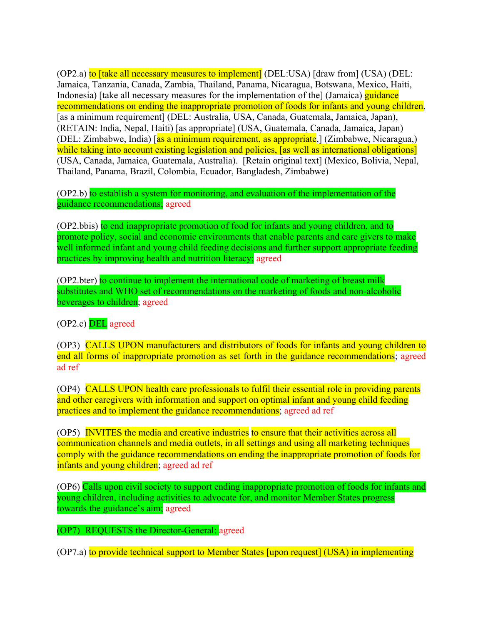(OP2.a) to *[take all necessary measures to implement]* (DEL:USA) *[draw from]* (USA) *(DEL*: Jamaica, Tanzania, Canada, Zambia, Thailand, Panama, Nicaragua, Botswana, Mexico, Haiti, Indonesia) [take all necessary measures for the implementation of the] (Jamaica) guidance recommendations on ending the inappropriate promotion of foods for infants and young children, [as a minimum requirement] (DEL: Australia, USA, Canada, Guatemala, Jamaica, Japan), (RETAIN: India, Nepal, Haiti) [as appropriate] (USA, Guatemala, Canada, Jamaica, Japan) (DEL: Zimbabwe, India) [as a minimum requirement, as appropriate,] (Zimbabwe, Nicaragua,) while taking into account existing legislation and policies, [as well as international obligations] (USA, Canada, Jamaica, Guatemala, Australia). [Retain original text] (Mexico, Bolivia, Nepal, Thailand, Panama, Brazil, Colombia, Ecuador, Bangladesh, Zimbabwe)

(OP2.b) to establish a system for monitoring, and evaluation of the implementation of the guidance recommendations; agreed

(OP2.bbis) to end inappropriate promotion of food for infants and young children, and to promote policy, social and economic environments that enable parents and care givers to make well informed infant and young child feeding decisions and further support appropriate feeding practices by improving health and nutrition literacy; agreed

(OP2.bter) to continue to implement the international code of marketing of breast milk substitutes and WHO set of recommendations on the marketing of foods and non-alcoholic beverages to children; agreed

(OP2.c) DEL agreed

(OP3) CALLS UPON manufacturers and distributors of foods for infants and young children to end all forms of inappropriate promotion as set forth in the guidance recommendations; agreed ad ref

(OP4) CALLS UPON health care professionals to fulfil their essential role in providing parents and other caregivers with information and support on optimal infant and young child feeding practices and to implement the guidance recommendations; agreed ad ref

(OP5) INVITES the media and creative industries to ensure that their activities across all communication channels and media outlets, in all settings and using all marketing techniques comply with the guidance recommendations on ending the inappropriate promotion of foods for infants and young children; agreed ad ref

(OP6) Calls upon civil society to support ending inappropriate promotion of foods for infants and young children, including activities to advocate for, and monitor Member States progress towards the guidance's aim; agreed

(OP7) REQUESTS the Director-General: agreed

(OP7.a) to provide technical support to Member States [upon request] (USA) in implementing